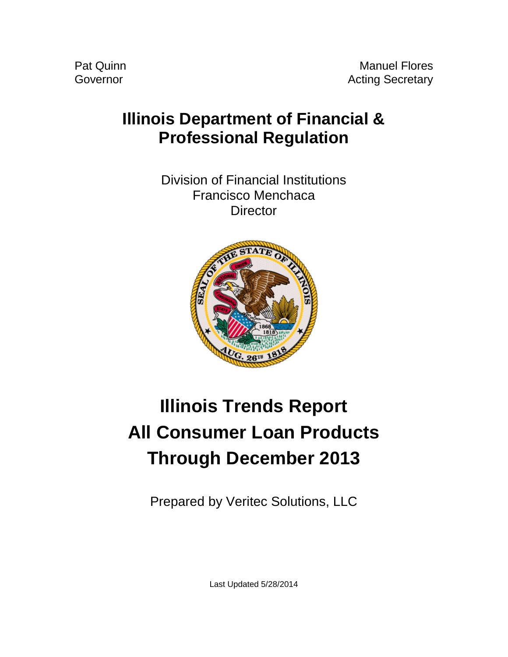## **Illinois Department of Financial & Professional Regulation**

Division of Financial Institutions Francisco Menchaca **Director** 



# **Illinois Trends Report All Consumer Loan Products Through December 2013**

Prepared by Veritec Solutions, LLC

Last Updated 5/28/2014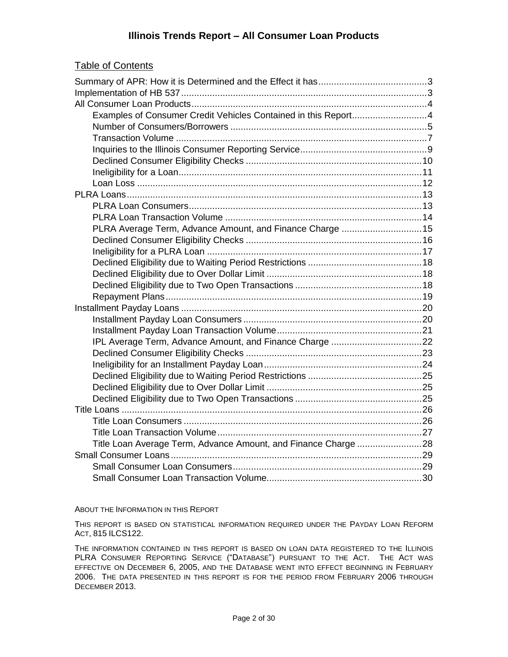#### **Illinois Trends Report – All Consumer Loan Products**

#### Table of Contents

| Examples of Consumer Credit Vehicles Contained in this Report4 |  |
|----------------------------------------------------------------|--|
|                                                                |  |
|                                                                |  |
|                                                                |  |
|                                                                |  |
|                                                                |  |
|                                                                |  |
|                                                                |  |
|                                                                |  |
|                                                                |  |
| PLRA Average Term, Advance Amount, and Finance Charge 15       |  |
|                                                                |  |
|                                                                |  |
|                                                                |  |
|                                                                |  |
|                                                                |  |
|                                                                |  |
|                                                                |  |
|                                                                |  |
|                                                                |  |
|                                                                |  |
|                                                                |  |
|                                                                |  |
|                                                                |  |
|                                                                |  |
|                                                                |  |
|                                                                |  |
|                                                                |  |
|                                                                |  |
|                                                                |  |
|                                                                |  |
|                                                                |  |
|                                                                |  |

#### ABOUT THE INFORMATION IN THIS REPORT

THIS REPORT IS BASED ON STATISTICAL INFORMATION REQUIRED UNDER THE PAYDAY LOAN REFORM ACT, 815 ILCS122.

THE INFORMATION CONTAINED IN THIS REPORT IS BASED ON LOAN DATA REGISTERED TO THE ILLINOIS PLRA CONSUMER REPORTING SERVICE ("DATABASE") PURSUANT TO THE ACT. THE ACT WAS EFFECTIVE ON DECEMBER 6, 2005, AND THE DATABASE WENT INTO EFFECT BEGINNING IN FEBRUARY 2006. THE DATA PRESENTED IN THIS REPORT IS FOR THE PERIOD FROM FEBRUARY 2006 THROUGH DECEMBER 2013.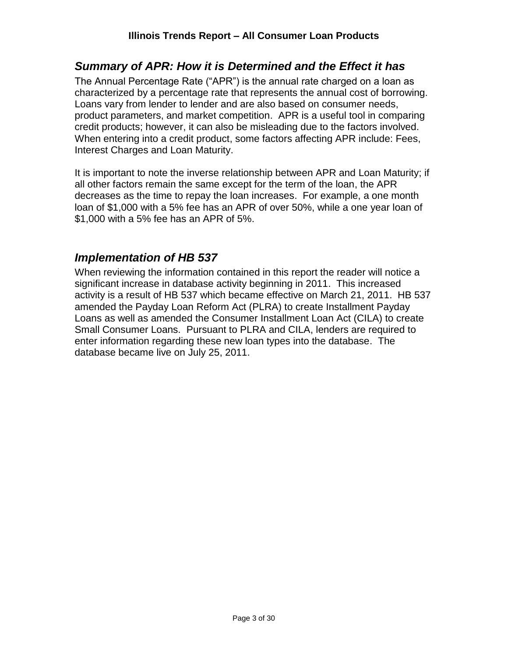## <span id="page-2-0"></span>*Summary of APR: How it is Determined and the Effect it has*

The Annual Percentage Rate ("APR") is the annual rate charged on a loan as characterized by a percentage rate that represents the annual cost of borrowing. Loans vary from lender to lender and are also based on consumer needs, product parameters, and market competition. APR is a useful tool in comparing credit products; however, it can also be misleading due to the factors involved. When entering into a credit product, some factors affecting APR include: Fees, Interest Charges and Loan Maturity.

It is important to note the inverse relationship between APR and Loan Maturity; if all other factors remain the same except for the term of the loan, the APR decreases as the time to repay the loan increases. For example, a one month loan of \$1,000 with a 5% fee has an APR of over 50%, while a one year loan of \$1,000 with a 5% fee has an APR of 5%.

## <span id="page-2-1"></span>*Implementation of HB 537*

When reviewing the information contained in this report the reader will notice a significant increase in database activity beginning in 2011. This increased activity is a result of HB 537 which became effective on March 21, 2011. HB 537 amended the Payday Loan Reform Act (PLRA) to create Installment Payday Loans as well as amended the Consumer Installment Loan Act (CILA) to create Small Consumer Loans. Pursuant to PLRA and CILA, lenders are required to enter information regarding these new loan types into the database. The database became live on July 25, 2011.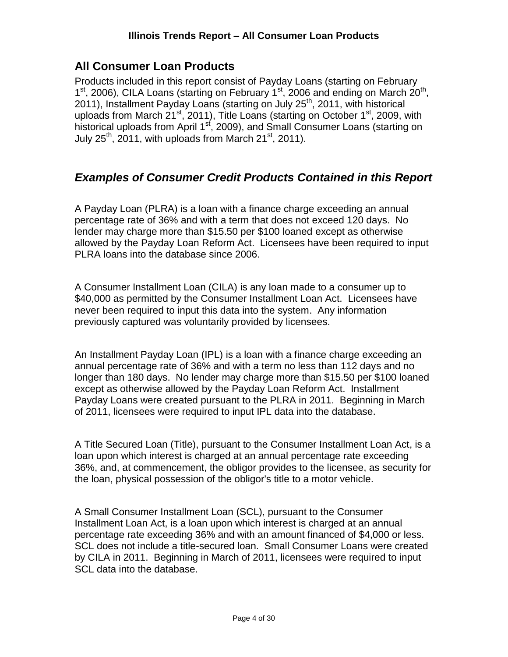## <span id="page-3-0"></span>**All Consumer Loan Products**

Products included in this report consist of Payday Loans (starting on February  $1<sup>st</sup>$ , 2006), CILA Loans (starting on February  $1<sup>st</sup>$ , 2006 and ending on March  $20<sup>th</sup>$ , 2011), Installment Payday Loans (starting on July 25<sup>th</sup>, 2011, with historical uploads from March 21<sup>st</sup>, 2011), Title Loans (starting on October 1<sup>st</sup>, 2009, with historical uploads from April 1<sup>st</sup>, 2009), and Small Consumer Loans (starting on July  $25<sup>th</sup>$ , 2011, with uploads from March 21<sup>st</sup>, 2011).

## <span id="page-3-1"></span>*Examples of Consumer Credit Products Contained in this Report*

A Payday Loan (PLRA) is a loan with a finance charge exceeding an annual percentage rate of 36% and with a term that does not exceed 120 days. No lender may charge more than \$15.50 per \$100 loaned except as otherwise allowed by the Payday Loan Reform Act. Licensees have been required to input PLRA loans into the database since 2006.

A Consumer Installment Loan (CILA) is any loan made to a consumer up to \$40,000 as permitted by the Consumer Installment Loan Act. Licensees have never been required to input this data into the system. Any information previously captured was voluntarily provided by licensees.

An Installment Payday Loan (IPL) is a loan with a finance charge exceeding an annual percentage rate of 36% and with a term no less than 112 days and no longer than 180 days. No lender may charge more than \$15.50 per \$100 loaned except as otherwise allowed by the Payday Loan Reform Act. Installment Payday Loans were created pursuant to the PLRA in 2011. Beginning in March of 2011, licensees were required to input IPL data into the database.

A Title Secured Loan (Title), pursuant to the Consumer Installment Loan Act, is a loan upon which interest is charged at an annual percentage rate exceeding 36%, and, at commencement, the obligor provides to the licensee, as security for the loan, physical possession of the obligor's title to a motor vehicle.

A Small Consumer Installment Loan (SCL), pursuant to the Consumer Installment Loan Act, is a loan upon which interest is charged at an annual percentage rate exceeding 36% and with an amount financed of \$4,000 or less. SCL does not include a title-secured loan. Small Consumer Loans were created by CILA in 2011. Beginning in March of 2011, licensees were required to input SCL data into the database.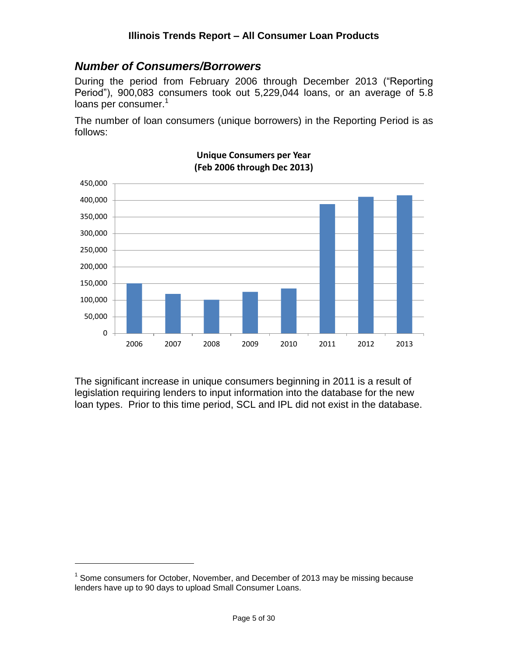## <span id="page-4-0"></span>*Number of Consumers/Borrowers*

During the period from February 2006 through December 2013 ("Reporting Period"), 900,083 consumers took out 5,229,044 loans, or an average of 5.8 loans per consumer.<sup>1</sup>

The number of loan consumers (unique borrowers) in the Reporting Period is as follows:



**Unique Consumers per Year (Feb 2006 through Dec 2013)**

The significant increase in unique consumers beginning in 2011 is a result of legislation requiring lenders to input information into the database for the new loan types. Prior to this time period, SCL and IPL did not exist in the database.

 $1$  Some consumers for October, November, and December of 2013 may be missing because lenders have up to 90 days to upload Small Consumer Loans.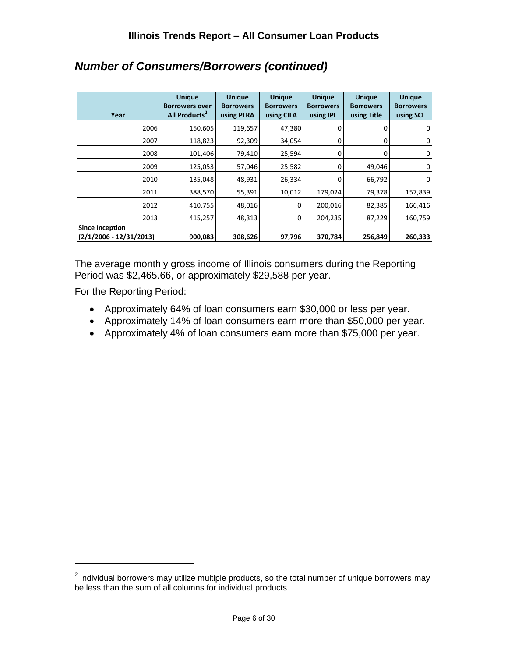| Year                                                | <b>Unique</b><br><b>Borrowers over</b><br>All Products <sup>2</sup> | <b>Unique</b><br><b>Borrowers</b><br>using PLRA | <b>Unique</b><br><b>Borrowers</b><br>using CILA | <b>Unique</b><br><b>Borrowers</b><br>using <b>IPL</b> | <b>Unique</b><br><b>Borrowers</b><br>using Title | <b>Unique</b><br><b>Borrowers</b><br>using SCL |
|-----------------------------------------------------|---------------------------------------------------------------------|-------------------------------------------------|-------------------------------------------------|-------------------------------------------------------|--------------------------------------------------|------------------------------------------------|
| 2006                                                | 150,605                                                             | 119,657                                         | 47,380                                          | 0                                                     | 0                                                | $\overline{0}$                                 |
| 2007                                                | 118,823                                                             | 92,309                                          | 34,054                                          | 0                                                     |                                                  | $\overline{0}$                                 |
| 2008                                                | 101,406                                                             | 79,410                                          | 25,594                                          | $\Omega$                                              |                                                  | $\overline{0}$                                 |
| 2009                                                | 125,053                                                             | 57,046                                          | 25,582                                          | 0                                                     | 49,046                                           | $\mathbf 0$                                    |
| 2010                                                | 135,048                                                             | 48,931                                          | 26,334                                          | 0                                                     | 66,792                                           | $\overline{0}$                                 |
| 2011                                                | 388,570                                                             | 55,391                                          | 10,012                                          | 179,024                                               | 79,378                                           | 157,839                                        |
| 2012                                                | 410,755                                                             | 48,016                                          | 0                                               | 200,016                                               | 82,385                                           | 166,416                                        |
| 2013                                                | 415,257                                                             | 48,313                                          | $\Omega$                                        | 204,235                                               | 87,229                                           | 160,759                                        |
| <b>Since Inception</b><br>$(2/1/2006 - 12/31/2013)$ | 900,083                                                             | 308,626                                         | 97,796                                          | 370,784                                               | 256,849                                          | 260,333                                        |

## *Number of Consumers/Borrowers (continued)*

The average monthly gross income of Illinois consumers during the Reporting Period was \$2,465.66, or approximately \$29,588 per year.

For the Reporting Period:

- Approximately 64% of loan consumers earn \$30,000 or less per year.
- Approximately 14% of loan consumers earn more than \$50,000 per year.
- Approximately 4% of loan consumers earn more than \$75,000 per year.

 $2$  Individual borrowers may utilize multiple products, so the total number of unique borrowers may be less than the sum of all columns for individual products.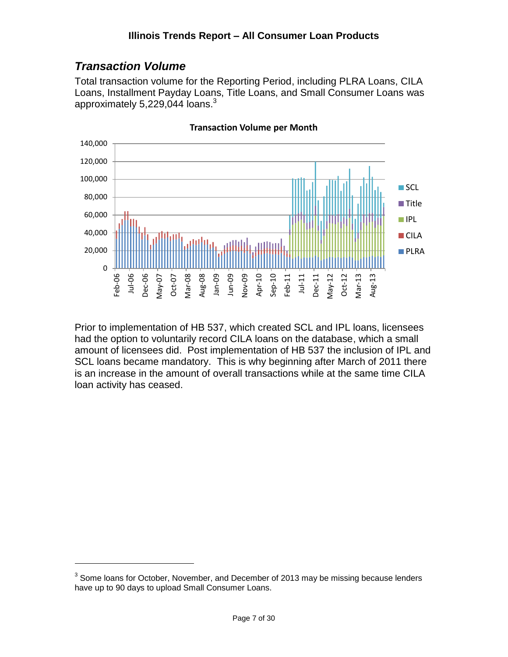## <span id="page-6-0"></span>*Transaction Volume*

 $\overline{a}$ 

Total transaction volume for the Reporting Period, including PLRA Loans, CILA Loans, Installment Payday Loans, Title Loans, and Small Consumer Loans was approximately 5,229,044 loans.<sup>3</sup>



**Transaction Volume per Month**

Prior to implementation of HB 537, which created SCL and IPL loans, licensees had the option to voluntarily record CILA loans on the database, which a small amount of licensees did. Post implementation of HB 537 the inclusion of IPL and SCL loans became mandatory. This is why beginning after March of 2011 there is an increase in the amount of overall transactions while at the same time CILA loan activity has ceased.

 $3$  Some loans for October, November, and December of 2013 may be missing because lenders have up to 90 days to upload Small Consumer Loans.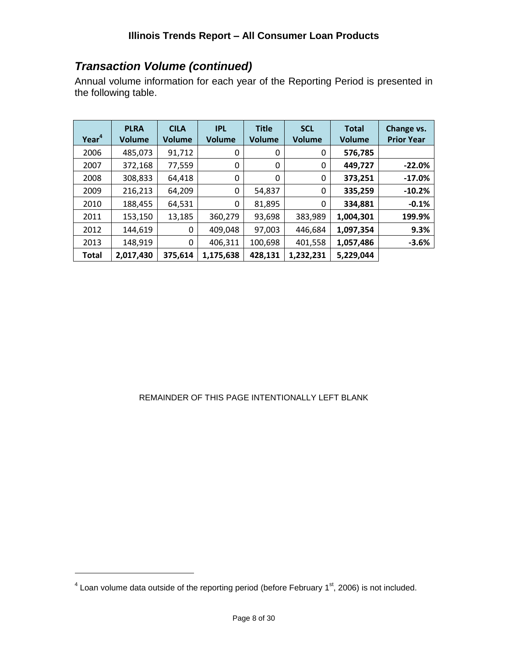## *Transaction Volume (continued)*

Annual volume information for each year of the Reporting Period is presented in the following table.

| Year <sup>4</sup> | <b>PLRA</b><br>Volume | <b>CILA</b><br>Volume | <b>IPL</b><br><b>Volume</b> | <b>Title</b><br><b>Volume</b> | <b>SCL</b><br><b>Volume</b> | <b>Total</b><br><b>Volume</b> | Change vs.<br><b>Prior Year</b> |
|-------------------|-----------------------|-----------------------|-----------------------------|-------------------------------|-----------------------------|-------------------------------|---------------------------------|
| 2006              | 485,073               | 91,712                | 0                           | 0                             | 0                           | 576,785                       |                                 |
| 2007              | 372,168               | 77,559                | 0                           | 0                             | 0                           | 449,727                       | $-22.0%$                        |
| 2008              | 308,833               | 64,418                | 0                           | 0                             | 0                           | 373,251                       | $-17.0%$                        |
| 2009              | 216,213               | 64,209                | 0                           | 54,837                        | 0                           | 335,259                       | $-10.2%$                        |
| 2010              | 188,455               | 64,531                | 0                           | 81,895                        | 0                           | 334,881                       | $-0.1%$                         |
| 2011              | 153,150               | 13,185                | 360,279                     | 93,698                        | 383,989                     | 1,004,301                     | 199.9%                          |
| 2012              | 144,619               | 0                     | 409,048                     | 97,003                        | 446,684                     | 1,097,354                     | 9.3%                            |
| 2013              | 148,919               | 0                     | 406,311                     | 100,698                       | 401,558                     | 1,057,486                     | $-3.6%$                         |
| <b>Total</b>      | 2,017,430             | 375,614               | 1,175,638                   | 428,131                       | 1,232,231                   | 5,229,044                     |                                 |

#### REMAINDER OF THIS PAGE INTENTIONALLY LEFT BLANK

 $4$  Loan volume data outside of the reporting period (before February 1<sup>st</sup>, 2006) is not included.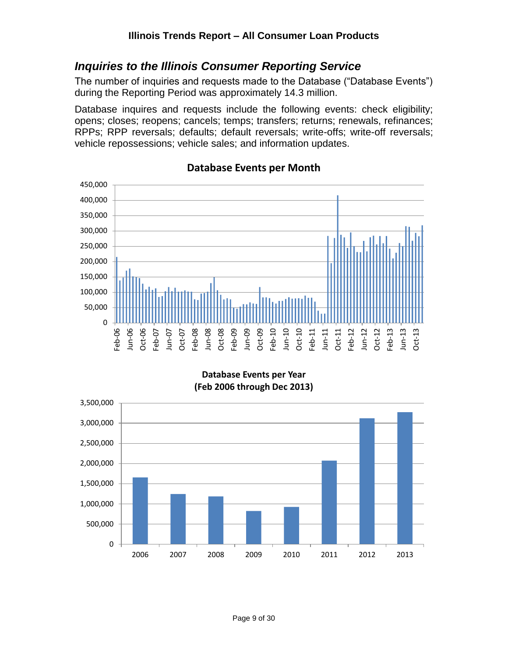## <span id="page-8-0"></span>*Inquiries to the Illinois Consumer Reporting Service*

The number of inquiries and requests made to the Database ("Database Events") during the Reporting Period was approximately 14.3 million.

Database inquires and requests include the following events: check eligibility; opens; closes; reopens; cancels; temps; transfers; returns; renewals, refinances; RPPs; RPP reversals; defaults; default reversals; write-offs; write-off reversals; vehicle repossessions; vehicle sales; and information updates.



#### **Database Events per Month**

**Database Events per Year (Feb 2006 through Dec 2013)**

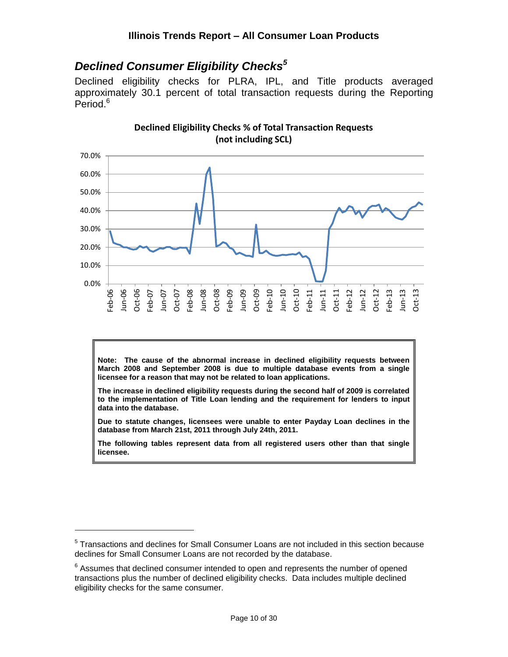## <span id="page-9-0"></span>*Declined Consumer Eligibility Checks<sup>5</sup>*

Declined eligibility checks for PLRA, IPL, and Title products averaged approximately 30.1 percent of total transaction requests during the Reporting Period.<sup>6</sup>



**Declined Eligibility Checks % of Total Transaction Requests (not including SCL)**

**Note: The cause of the abnormal increase in declined eligibility requests between March 2008 and September 2008 is due to multiple database events from a single licensee for a reason that may not be related to loan applications.**

**The increase in declined eligibility requests during the second half of 2009 is correlated to the implementation of Title Loan lending and the requirement for lenders to input data into the database.**

**Due to statute changes, licensees were unable to enter Payday Loan declines in the database from March 21st, 2011 through July 24th, 2011.**

**The following tables represent data from all registered users other than that single licensee.**

<sup>&</sup>lt;sup>5</sup> Transactions and declines for Small Consumer Loans are not included in this section because declines for Small Consumer Loans are not recorded by the database.

 $6$  Assumes that declined consumer intended to open and represents the number of opened transactions plus the number of declined eligibility checks. Data includes multiple declined eligibility checks for the same consumer.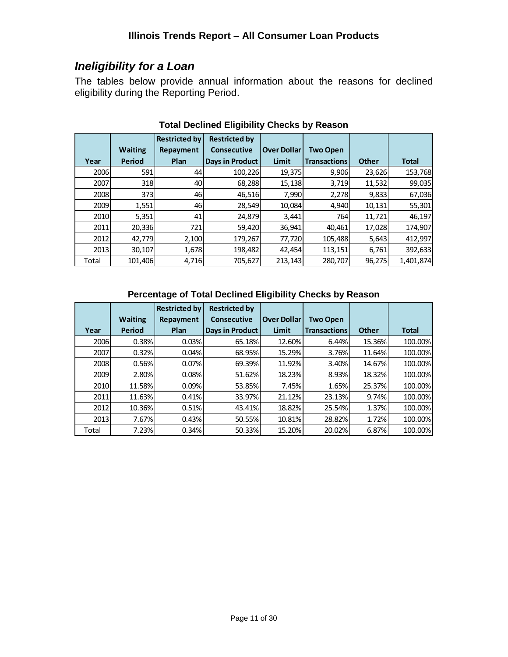## <span id="page-10-0"></span>*Ineligibility for a Loan*

The tables below provide annual information about the reasons for declined eligibility during the Reporting Period.

|       |                | <b>Restricted by</b> | <b>Restricted by</b>   |                    |                     |              |              |
|-------|----------------|----------------------|------------------------|--------------------|---------------------|--------------|--------------|
|       | <b>Waiting</b> | Repayment            | <b>Consecutive</b>     | <b>Over Dollar</b> | <b>Two Open</b>     |              |              |
| Year  | Period         | Plan                 | <b>Days in Product</b> | Limit              | <b>Transactions</b> | <b>Other</b> | <b>Total</b> |
| 2006  | 591            | 44                   | 100,226                | 19,375             | 9,906               | 23,626       | 153,768      |
| 2007  | 318            | 40                   | 68,288                 | 15,138             | 3.719               | 11,532       | 99,035       |
| 2008  | 373            | 46                   | 46,516                 | 7,990              | 2,278               | 9,833        | 67,036       |
| 2009  | 1,551          | 46                   | 28,549                 | 10,084             | 4,940               | 10,131       | 55,301       |
| 2010  | 5,351          | 41                   | 24,879                 | 3,441              | 764                 | 11,721       | 46,197       |
| 2011  | 20,336         | 721                  | 59,420                 | 36,941             | 40,461              | 17,028       | 174,907      |
| 2012  | 42,779         | 2,100                | 179,267                | 77,720             | 105,488             | 5,643        | 412,997      |
| 2013  | 30,107         | 1,678                | 198,482                | 42,454             | 113,151             | 6,761        | 392,633      |
| Total | 101,406        | 4,716                | 705,627                | 213,143            | 280.707             | 96,275       | 1.401.874    |

## **Total Declined Eligibility Checks by Reason**

#### **Percentage of Total Declined Eligibility Checks by Reason**

|       |                | <b>Restricted by</b> | <b>Restricted by</b> |                    |                     |              |              |
|-------|----------------|----------------------|----------------------|--------------------|---------------------|--------------|--------------|
|       | <b>Waiting</b> | Repayment            | <b>Consecutive</b>   | <b>Over Dollar</b> | <b>Two Open</b>     |              |              |
| Year  | Period         | Plan                 | Days in Product      | Limit              | <b>Transactions</b> | <b>Other</b> | <b>Total</b> |
| 2006  | 0.38%          | 0.03%                | 65.18%               | 12.60%             | 6.44%               | 15.36%       | 100.00%      |
| 2007  | 0.32%          | 0.04%                | 68.95%               | 15.29%             | 3.76%               | 11.64%       | 100.00%      |
| 2008  | 0.56%          | 0.07%                | 69.39%               | 11.92%             | 3.40%               | 14.67%       | 100.00%      |
| 2009  | 2.80%          | 0.08%                | 51.62%               | 18.23%             | 8.93%               | 18.32%       | 100.00%      |
| 2010  | 11.58%         | 0.09%                | 53.85%               | 7.45%              | 1.65%               | 25.37%       | 100.00%      |
| 2011  | 11.63%         | 0.41%                | 33.97%               | 21.12%             | 23.13%              | 9.74%        | 100.00%      |
| 2012  | 10.36%         | 0.51%                | 43.41%               | 18.82%             | 25.54%              | 1.37%        | 100.00%      |
| 2013  | 7.67%          | 0.43%                | 50.55%               | 10.81%             | 28.82%              | 1.72%        | 100.00%      |
| Total | 7.23%          | 0.34%                | 50.33%               | 15.20%             | 20.02%              | 6.87%        | 100.00%      |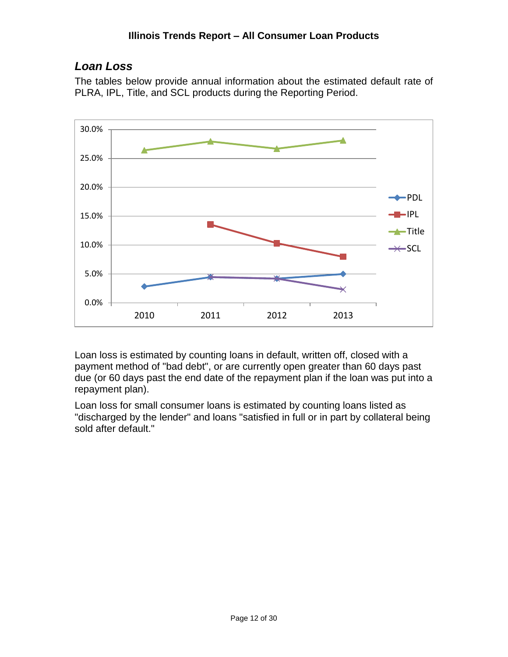#### **Illinois Trends Report – All Consumer Loan Products**

## <span id="page-11-0"></span>*Loan Loss*

The tables below provide annual information about the estimated default rate of PLRA, IPL, Title, and SCL products during the Reporting Period.



Loan loss is estimated by counting loans in default, written off, closed with a payment method of "bad debt", or are currently open greater than 60 days past due (or 60 days past the end date of the repayment plan if the loan was put into a repayment plan).

Loan loss for small consumer loans is estimated by counting loans listed as "discharged by the lender" and loans "satisfied in full or in part by collateral being sold after default."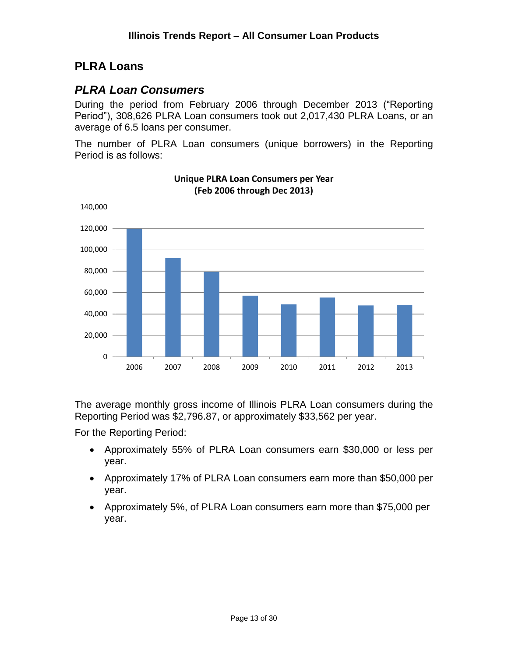## <span id="page-12-0"></span>**PLRA Loans**

## <span id="page-12-1"></span>*PLRA Loan Consumers*

During the period from February 2006 through December 2013 ("Reporting Period"), 308,626 PLRA Loan consumers took out 2,017,430 PLRA Loans, or an average of 6.5 loans per consumer.

The number of PLRA Loan consumers (unique borrowers) in the Reporting Period is as follows:



**Unique PLRA Loan Consumers per Year (Feb 2006 through Dec 2013)**

The average monthly gross income of Illinois PLRA Loan consumers during the Reporting Period was \$2,796.87, or approximately \$33,562 per year.

For the Reporting Period:

- Approximately 55% of PLRA Loan consumers earn \$30,000 or less per year.
- Approximately 17% of PLRA Loan consumers earn more than \$50,000 per year.
- Approximately 5%, of PLRA Loan consumers earn more than \$75,000 per year.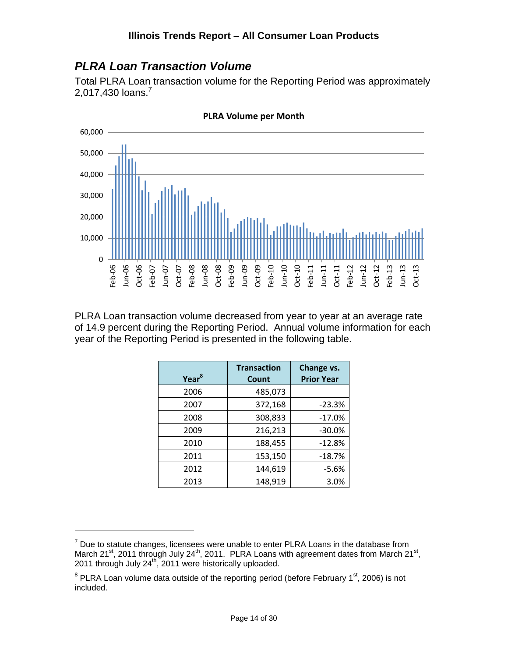## <span id="page-13-0"></span>*PLRA Loan Transaction Volume*

Total PLRA Loan transaction volume for the Reporting Period was approximately 2,017,430  $\mu$ ans.<sup>7</sup>



**PLRA Volume per Month**

PLRA Loan transaction volume decreased from year to year at an average rate of 14.9 percent during the Reporting Period. Annual volume information for each year of the Reporting Period is presented in the following table.

| Year <sup>8</sup> | <b>Transaction</b><br>Count | Change vs.<br><b>Prior Year</b> |
|-------------------|-----------------------------|---------------------------------|
| 2006              | 485,073                     |                                 |
| 2007              | 372,168                     | $-23.3%$                        |
| 2008              | 308,833                     | $-17.0%$                        |
| 2009              | 216,213                     | $-30.0%$                        |
| 2010              | 188,455                     | $-12.8%$                        |
| 2011              | 153,150                     | $-18.7%$                        |
| 2012              | 144,619                     | $-5.6%$                         |
| 2013              | 148,919                     | 3.0%                            |

 $7$  Due to statute changes, licensees were unable to enter PLRA Loans in the database from March 21<sup>st</sup>, 2011 through July 24<sup>th</sup>, 2011. PLRA Loans with agreement dates from March 21<sup>st</sup>,  $2011$  through July  $24^{\text{th}}$ , 2011 were historically uploaded.

 $8$  PLRA Loan volume data outside of the reporting period (before February 1 $\mathrm{^{st}}$ , 2006) is not included.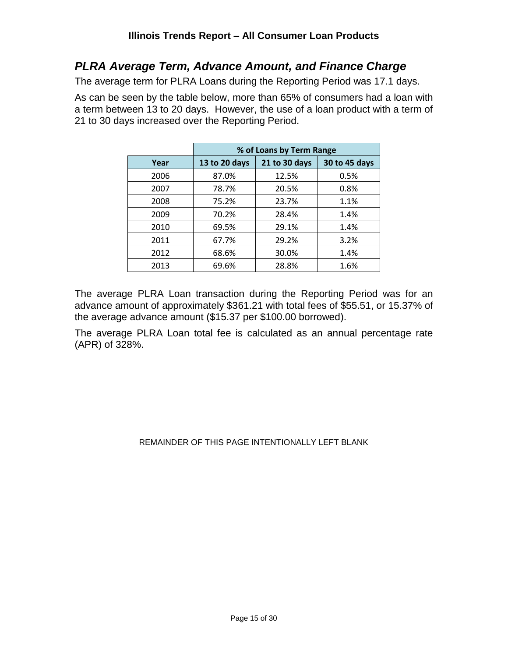## <span id="page-14-0"></span>*PLRA Average Term, Advance Amount, and Finance Charge*

The average term for PLRA Loans during the Reporting Period was 17.1 days.

As can be seen by the table below, more than 65% of consumers had a loan with a term between 13 to 20 days. However, the use of a loan product with a term of 21 to 30 days increased over the Reporting Period.

|      | % of Loans by Term Range |               |               |  |  |  |  |
|------|--------------------------|---------------|---------------|--|--|--|--|
| Year | 13 to 20 days            | 21 to 30 days | 30 to 45 days |  |  |  |  |
| 2006 | 87.0%                    | 12.5%         | 0.5%          |  |  |  |  |
| 2007 | 78.7%                    | 20.5%         | 0.8%          |  |  |  |  |
| 2008 | 75.2%                    | 23.7%         | 1.1%          |  |  |  |  |
| 2009 | 70.2%                    | 28.4%         | 1.4%          |  |  |  |  |
| 2010 | 69.5%                    | 29.1%         | 1.4%          |  |  |  |  |
| 2011 | 67.7%                    | 29.2%         | 3.2%          |  |  |  |  |
| 2012 | 68.6%                    | 30.0%         | 1.4%          |  |  |  |  |
| 2013 | 69.6%                    | 28.8%         | 1.6%          |  |  |  |  |

The average PLRA Loan transaction during the Reporting Period was for an advance amount of approximately \$361.21 with total fees of \$55.51, or 15.37% of the average advance amount (\$15.37 per \$100.00 borrowed).

The average PLRA Loan total fee is calculated as an annual percentage rate (APR) of 328%.

#### REMAINDER OF THIS PAGE INTENTIONALLY LEFT BLANK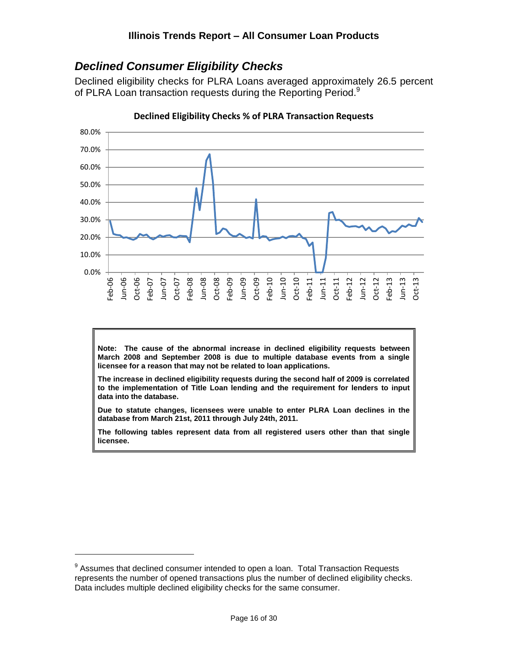## <span id="page-15-0"></span>*Declined Consumer Eligibility Checks*

Declined eligibility checks for PLRA Loans averaged approximately 26.5 percent of PLRA Loan transaction requests during the Reporting Period.<sup>9</sup>



**Declined Eligibility Checks % of PLRA Transaction Requests**

**Note: The cause of the abnormal increase in declined eligibility requests between March 2008 and September 2008 is due to multiple database events from a single licensee for a reason that may not be related to loan applications.**

**The increase in declined eligibility requests during the second half of 2009 is correlated to the implementation of Title Loan lending and the requirement for lenders to input data into the database.**

**Due to statute changes, licensees were unable to enter PLRA Loan declines in the database from March 21st, 2011 through July 24th, 2011.**

**The following tables represent data from all registered users other than that single licensee.**

 $9$  Assumes that declined consumer intended to open a loan. Total Transaction Requests represents the number of opened transactions plus the number of declined eligibility checks. Data includes multiple declined eligibility checks for the same consumer.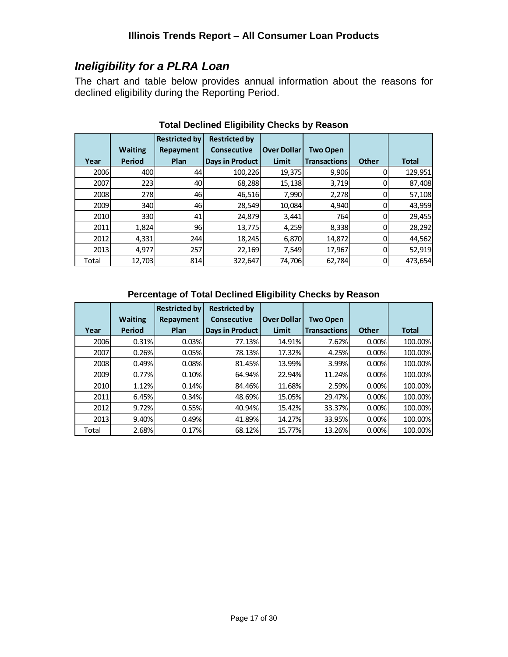## <span id="page-16-0"></span>*Ineligibility for a PLRA Loan*

The chart and table below provides annual information about the reasons for declined eligibility during the Reporting Period.

|       |                | <b>Restricted by</b> | <b>Restricted by</b>   |                    |                     |              |              |
|-------|----------------|----------------------|------------------------|--------------------|---------------------|--------------|--------------|
|       | <b>Waiting</b> | Repayment            | <b>Consecutive</b>     | <b>Over Dollar</b> | <b>Two Open</b>     |              |              |
| Year  | Period         | Plan                 | <b>Days in Product</b> | Limit              | <b>Transactions</b> | <b>Other</b> | <b>Total</b> |
| 2006  | 400            | 44                   | 100,226                | 19,375             | 9,906               |              | 129,951      |
| 2007  | 223            | 40                   | 68,288                 | 15,138             | 3,719               |              | 87,408       |
| 2008  | 278            | 46                   | 46,516                 | 7,990              | 2,278               |              | 57,108       |
| 2009  | 340            | 46                   | 28,549                 | 10,084             | 4,940               |              | 43,959       |
| 2010  | 330            | 41                   | 24,879                 | 3,441              | 764                 |              | 29,455       |
| 2011  | 1,824          | 96                   | 13,775                 | 4,259              | 8,338               |              | 28,292       |
| 2012  | 4,331          | 244                  | 18,245                 | 6,870              | 14,872              |              | 44,562       |
| 2013  | 4,977          | 257                  | 22,169                 | 7,549              | 17,967              |              | 52,919       |
| Total | 12,703         | 814                  | 322,647                | 74,706             | 62,784              |              | 473,654      |

## **Total Declined Eligibility Checks by Reason**

#### **Percentage of Total Declined Eligibility Checks by Reason**

|       |                | <b>Restricted by</b> | <b>Restricted by</b> |                    |                     |              |              |
|-------|----------------|----------------------|----------------------|--------------------|---------------------|--------------|--------------|
|       | <b>Waiting</b> | Repayment            | <b>Consecutive</b>   | <b>Over Dollar</b> | <b>Two Open</b>     |              |              |
| Year  | Period         | Plan                 | Days in Product      | Limit              | <b>Transactions</b> | <b>Other</b> | <b>Total</b> |
| 2006  | 0.31%          | 0.03%                | 77.13%               | 14.91%             | 7.62%               | 0.00%        | 100.00%      |
| 2007  | 0.26%          | 0.05%                | 78.13%               | 17.32%             | 4.25%               | 0.00%        | 100.00%      |
| 2008  | 0.49%          | 0.08%                | 81.45%               | 13.99%             | 3.99%               | 0.00%        | 100.00%      |
| 2009  | 0.77%          | 0.10%                | 64.94%               | 22.94%             | 11.24%              | 0.00%        | 100.00%      |
| 2010  | 1.12%          | 0.14%                | 84.46%               | 11.68%             | 2.59%               | 0.00%        | 100.00%      |
| 2011  | 6.45%          | 0.34%                | 48.69%               | 15.05%             | 29.47%              | 0.00%        | 100.00%      |
| 2012  | 9.72%          | 0.55%                | 40.94%               | 15.42%             | 33.37%              | 0.00%        | 100.00%      |
| 2013  | 9.40%          | 0.49%                | 41.89%               | 14.27%             | 33.95%              | 0.00%        | 100.00%      |
| Total | 2.68%          | 0.17%                | 68.12%               | 15.77%             | 13.26%              | 0.00%        | 100.00%      |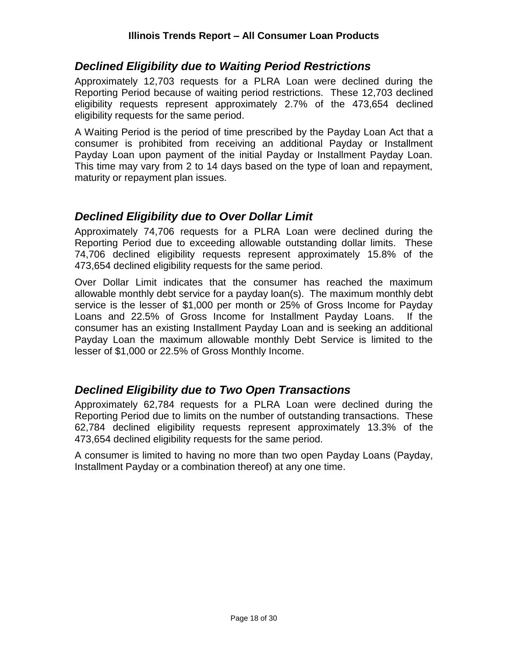## <span id="page-17-0"></span>*Declined Eligibility due to Waiting Period Restrictions*

Approximately 12,703 requests for a PLRA Loan were declined during the Reporting Period because of waiting period restrictions. These 12,703 declined eligibility requests represent approximately 2.7% of the 473,654 declined eligibility requests for the same period.

A Waiting Period is the period of time prescribed by the Payday Loan Act that a consumer is prohibited from receiving an additional Payday or Installment Payday Loan upon payment of the initial Payday or Installment Payday Loan. This time may vary from 2 to 14 days based on the type of loan and repayment, maturity or repayment plan issues.

## <span id="page-17-1"></span>*Declined Eligibility due to Over Dollar Limit*

Approximately 74,706 requests for a PLRA Loan were declined during the Reporting Period due to exceeding allowable outstanding dollar limits. These 74,706 declined eligibility requests represent approximately 15.8% of the 473,654 declined eligibility requests for the same period.

Over Dollar Limit indicates that the consumer has reached the maximum allowable monthly debt service for a payday loan(s). The maximum monthly debt service is the lesser of \$1,000 per month or 25% of Gross Income for Payday Loans and 22.5% of Gross Income for Installment Payday Loans. If the consumer has an existing Installment Payday Loan and is seeking an additional Payday Loan the maximum allowable monthly Debt Service is limited to the lesser of \$1,000 or 22.5% of Gross Monthly Income.

## <span id="page-17-2"></span>*Declined Eligibility due to Two Open Transactions*

Approximately 62,784 requests for a PLRA Loan were declined during the Reporting Period due to limits on the number of outstanding transactions. These 62,784 declined eligibility requests represent approximately 13.3% of the 473,654 declined eligibility requests for the same period.

A consumer is limited to having no more than two open Payday Loans (Payday, Installment Payday or a combination thereof) at any one time.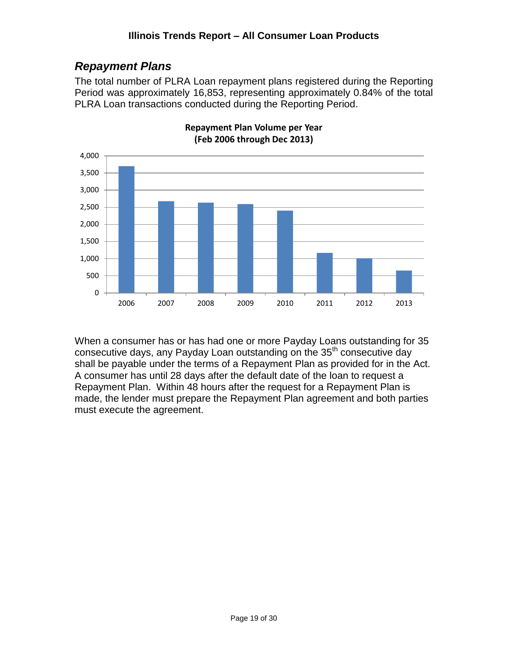## <span id="page-18-0"></span>*Repayment Plans*

The total number of PLRA Loan repayment plans registered during the Reporting Period was approximately 16,853, representing approximately 0.84% of the total PLRA Loan transactions conducted during the Reporting Period.



**Repayment Plan Volume per Year (Feb 2006 through Dec 2013)**

When a consumer has or has had one or more Payday Loans outstanding for 35 consecutive days, any Payday Loan outstanding on the 35<sup>th</sup> consecutive day shall be payable under the terms of a Repayment Plan as provided for in the Act. A consumer has until 28 days after the default date of the loan to request a Repayment Plan. Within 48 hours after the request for a Repayment Plan is made, the lender must prepare the Repayment Plan agreement and both parties must execute the agreement.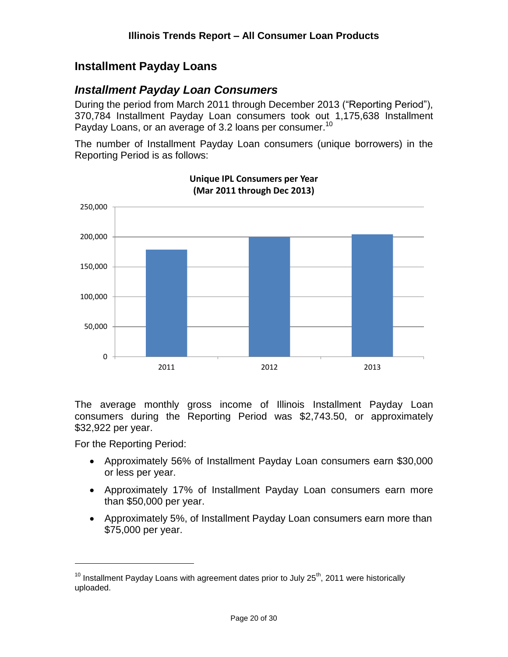## <span id="page-19-0"></span>**Installment Payday Loans**

## <span id="page-19-1"></span>*Installment Payday Loan Consumers*

During the period from March 2011 through December 2013 ("Reporting Period"), 370,784 Installment Payday Loan consumers took out 1,175,638 Installment Payday Loans, or an average of 3.2 loans per consumer.<sup>10</sup>

The number of Installment Payday Loan consumers (unique borrowers) in the Reporting Period is as follows:



**Unique IPL Consumers per Year (Mar 2011 through Dec 2013)**

The average monthly gross income of Illinois Installment Payday Loan consumers during the Reporting Period was \$2,743.50, or approximately \$32,922 per year.

For the Reporting Period:

- Approximately 56% of Installment Payday Loan consumers earn \$30,000 or less per year.
- Approximately 17% of Installment Payday Loan consumers earn more than \$50,000 per year.
- Approximately 5%, of Installment Payday Loan consumers earn more than \$75,000 per year.

 $10$  Installment Payday Loans with agreement dates prior to July 25<sup>th</sup>, 2011 were historically uploaded.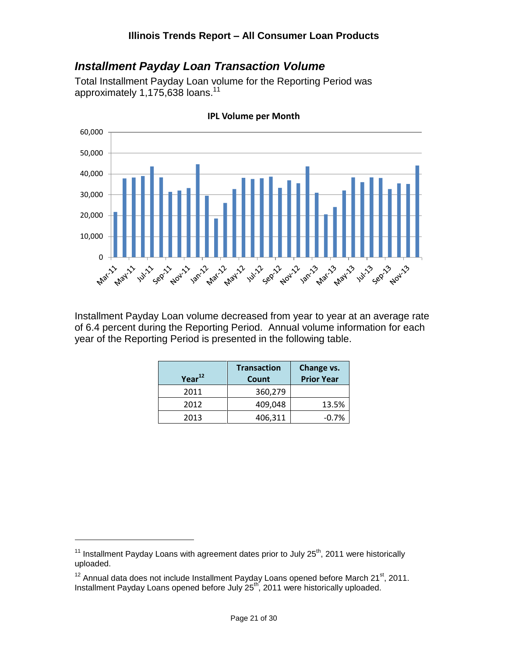## <span id="page-20-0"></span>*Installment Payday Loan Transaction Volume*

Total Installment Payday Loan volume for the Reporting Period was approximately 1,175,638 loans.<sup>11</sup>



**IPL Volume per Month**

Installment Payday Loan volume decreased from year to year at an average rate of 6.4 percent during the Reporting Period. Annual volume information for each year of the Reporting Period is presented in the following table.

| Year <sup>12</sup> | <b>Transaction</b><br>Count | Change vs.<br><b>Prior Year</b> |
|--------------------|-----------------------------|---------------------------------|
| 2011               | 360,279                     |                                 |
| 2012               | 409,048                     | 13.5%                           |
| 2013               | 406,311                     | $-0.7%$                         |

<sup>&</sup>lt;sup>11</sup> Installment Payday Loans with agreement dates prior to July  $25<sup>th</sup>$ , 2011 were historically uploaded.

 $12$  Annual data does not include Installment Payday Loans opened before March 21 $st$ , 2011. Installment Payday Loans opened before July 25<sup>th</sup>, 2011 were historically uploaded.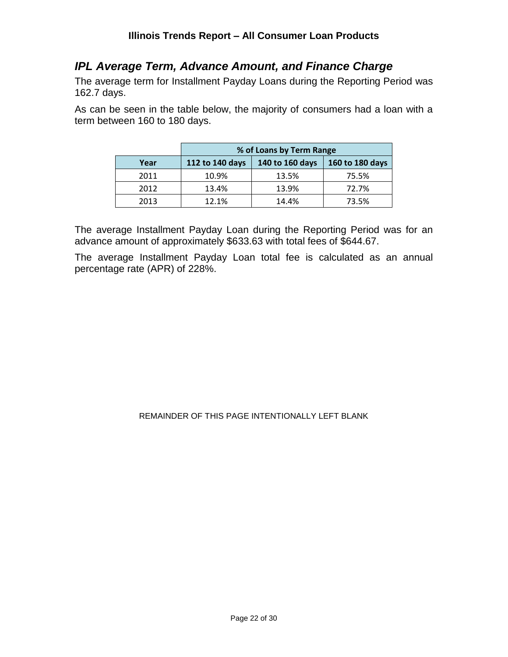## <span id="page-21-0"></span>*IPL Average Term, Advance Amount, and Finance Charge*

The average term for Installment Payday Loans during the Reporting Period was 162.7 days.

As can be seen in the table below, the majority of consumers had a loan with a term between 160 to 180 days.

|      | % of Loans by Term Range |                 |                 |  |  |  |  |
|------|--------------------------|-----------------|-----------------|--|--|--|--|
| Year | 112 to 140 days          | 140 to 160 days | 160 to 180 days |  |  |  |  |
| 2011 | 10.9%                    | 13.5%           | 75.5%           |  |  |  |  |
| 2012 | 13.4%                    | 13.9%           | 72.7%           |  |  |  |  |
| 2013 | 12.1%                    | 14.4%           | 73.5%           |  |  |  |  |

The average Installment Payday Loan during the Reporting Period was for an advance amount of approximately \$633.63 with total fees of \$644.67.

The average Installment Payday Loan total fee is calculated as an annual percentage rate (APR) of 228%.

REMAINDER OF THIS PAGE INTENTIONALLY LEFT BLANK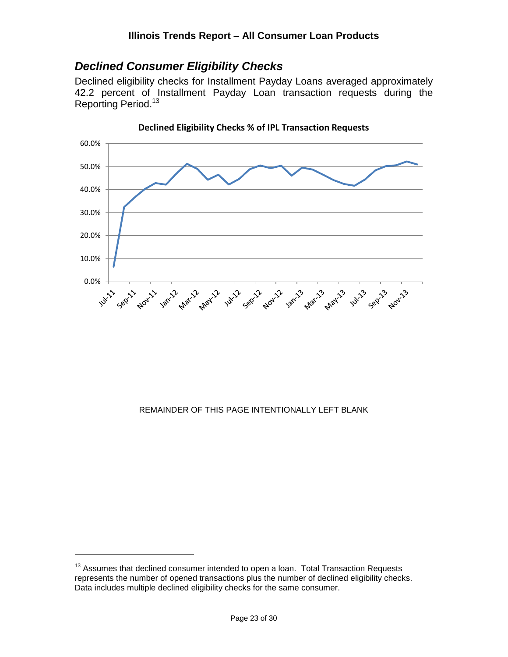## <span id="page-22-0"></span>*Declined Consumer Eligibility Checks*

Declined eligibility checks for Installment Payday Loans averaged approximately 42.2 percent of Installment Payday Loan transaction requests during the Reporting Period.<sup>13</sup>



**Declined Eligibility Checks % of IPL Transaction Requests**

#### REMAINDER OF THIS PAGE INTENTIONALLY LEFT BLANK

 $13$  Assumes that declined consumer intended to open a loan. Total Transaction Requests represents the number of opened transactions plus the number of declined eligibility checks. Data includes multiple declined eligibility checks for the same consumer.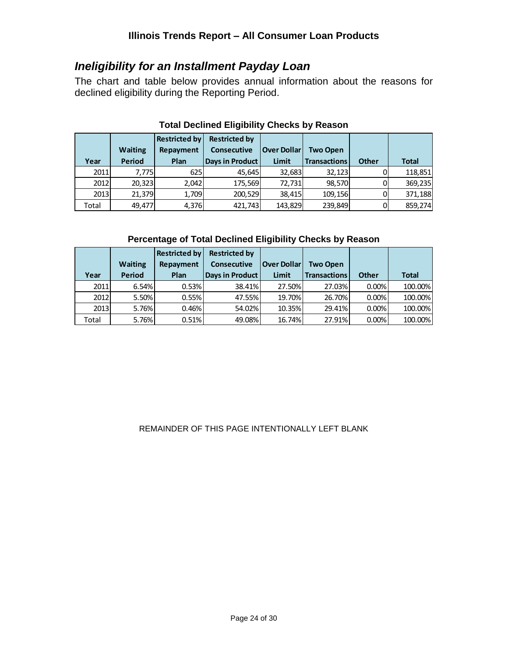## <span id="page-23-0"></span>*Ineligibility for an Installment Payday Loan*

The chart and table below provides annual information about the reasons for declined eligibility during the Reporting Period.

|       |                | <b>Restricted by</b> | <b>Restricted by</b> |                    |                     |              |              |
|-------|----------------|----------------------|----------------------|--------------------|---------------------|--------------|--------------|
|       | <b>Waiting</b> | Repayment            | <b>Consecutive</b>   | <b>Over Dollar</b> | <b>Two Open</b>     |              |              |
| Year  | <b>Period</b>  | <b>Plan</b>          | Days in Product      | <b>Limit</b>       | <b>Transactions</b> | <b>Other</b> | <b>Total</b> |
| 2011  | 7.775          | 625                  | 45,645               | 32,683             | 32,123              |              | 118,851      |
| 2012  | 20.323         | 2,042                | 175,569              | 72.731             | 98,570              |              | 369,235      |
| 2013  | 21,379         | 1,709                | 200,529              | 38,415             | 109,156             |              | 371,188      |
| Total | 49.477         | 4,376                | 421,743              | 143,829            | 239,849             |              | 859,274      |

#### **Total Declined Eligibility Checks by Reason**

#### **Percentage of Total Declined Eligibility Checks by Reason**

|       |                | <b>Restricted by</b> | <b>Restricted by</b>   |                    |                     |              |              |
|-------|----------------|----------------------|------------------------|--------------------|---------------------|--------------|--------------|
|       | <b>Waiting</b> | Repayment            | <b>Consecutive</b>     | <b>Over Dollar</b> | <b>Two Open</b>     |              |              |
| Year  | <b>Period</b>  | <b>Plan</b>          | <b>Days in Product</b> | <b>Limit</b>       | <b>Transactions</b> | <b>Other</b> | <b>Total</b> |
| 2011  | 6.54%          | 0.53%                | 38.41%                 | 27.50%             | 27.03%              | $0.00\%$     | 100.00%      |
| 2012  | 5.50%          | 0.55%                | 47.55%                 | 19.70%             | 26.70%              | $0.00\%$     | 100.00%      |
| 2013  | 5.76%          | 0.46%                | 54.02%                 | 10.35%             | 29.41%              | 0.00%        | 100.00%      |
| Total | 5.76%          | 0.51%                | 49.08%                 | 16.74%             | 27.91%              | 0.00%        | 100.00%      |

#### REMAINDER OF THIS PAGE INTENTIONALLY LEFT BLANK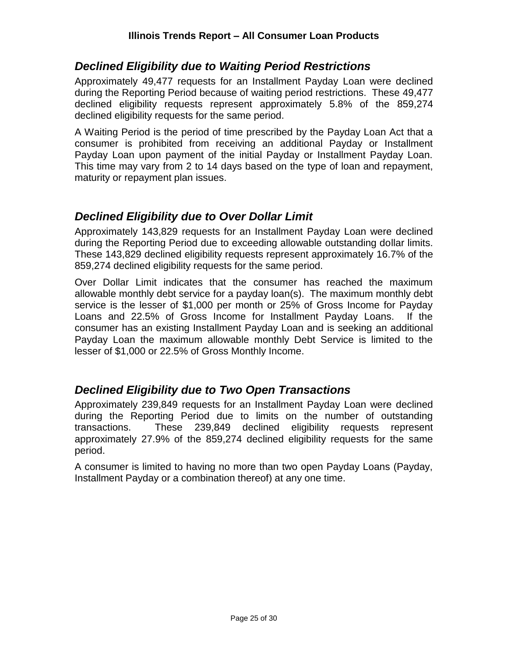## <span id="page-24-0"></span>*Declined Eligibility due to Waiting Period Restrictions*

Approximately 49,477 requests for an Installment Payday Loan were declined during the Reporting Period because of waiting period restrictions. These 49,477 declined eligibility requests represent approximately 5.8% of the 859,274 declined eligibility requests for the same period.

A Waiting Period is the period of time prescribed by the Payday Loan Act that a consumer is prohibited from receiving an additional Payday or Installment Payday Loan upon payment of the initial Payday or Installment Payday Loan. This time may vary from 2 to 14 days based on the type of loan and repayment, maturity or repayment plan issues.

## <span id="page-24-1"></span>*Declined Eligibility due to Over Dollar Limit*

Approximately 143,829 requests for an Installment Payday Loan were declined during the Reporting Period due to exceeding allowable outstanding dollar limits. These 143,829 declined eligibility requests represent approximately 16.7% of the 859,274 declined eligibility requests for the same period.

Over Dollar Limit indicates that the consumer has reached the maximum allowable monthly debt service for a payday loan(s). The maximum monthly debt service is the lesser of \$1,000 per month or 25% of Gross Income for Payday Loans and 22.5% of Gross Income for Installment Payday Loans. If the consumer has an existing Installment Payday Loan and is seeking an additional Payday Loan the maximum allowable monthly Debt Service is limited to the lesser of \$1,000 or 22.5% of Gross Monthly Income.

## <span id="page-24-2"></span>*Declined Eligibility due to Two Open Transactions*

Approximately 239,849 requests for an Installment Payday Loan were declined during the Reporting Period due to limits on the number of outstanding transactions. These 239,849 declined eligibility requests represent approximately 27.9% of the 859,274 declined eligibility requests for the same period.

A consumer is limited to having no more than two open Payday Loans (Payday, Installment Payday or a combination thereof) at any one time.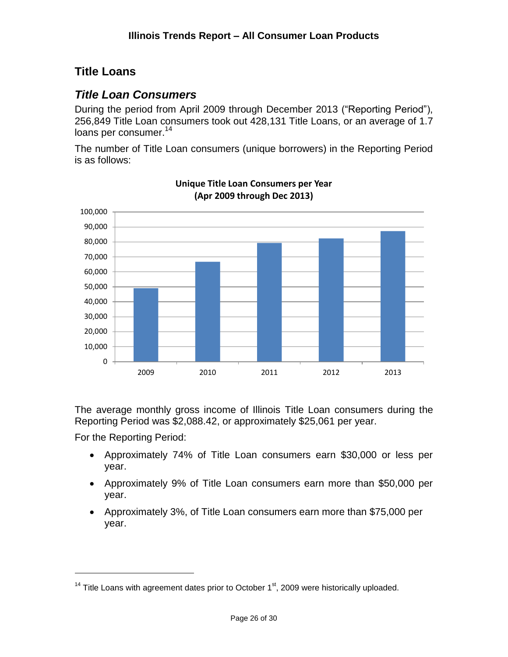## <span id="page-25-0"></span>**Title Loans**

## <span id="page-25-1"></span>*Title Loan Consumers*

During the period from April 2009 through December 2013 ("Reporting Period"), 256,849 Title Loan consumers took out 428,131 Title Loans, or an average of 1.7 loans per consumer.<sup>14</sup>

The number of Title Loan consumers (unique borrowers) in the Reporting Period is as follows:



**Unique Title Loan Consumers per Year (Apr 2009 through Dec 2013)**

The average monthly gross income of Illinois Title Loan consumers during the Reporting Period was \$2,088.42, or approximately \$25,061 per year.

For the Reporting Period:

- Approximately 74% of Title Loan consumers earn \$30,000 or less per year.
- Approximately 9% of Title Loan consumers earn more than \$50,000 per year.
- Approximately 3%, of Title Loan consumers earn more than \$75,000 per year.

 $14$  Title Loans with agreement dates prior to October  $1<sup>st</sup>$ , 2009 were historically uploaded.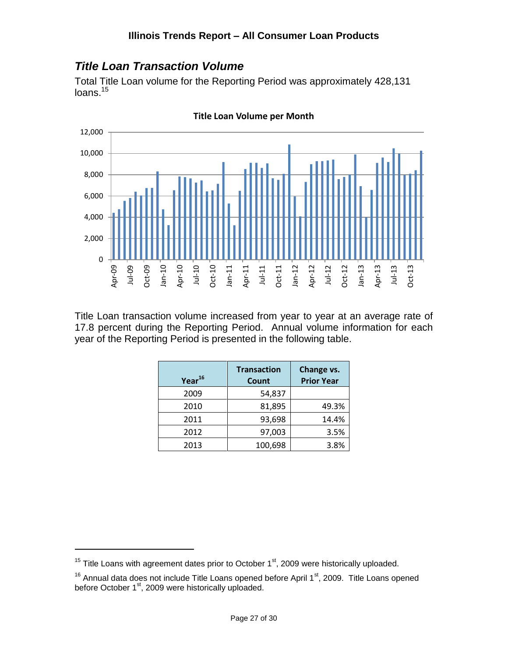## <span id="page-26-0"></span>*Title Loan Transaction Volume*

Total Title Loan volume for the Reporting Period was approximately 428,131 loans.<sup>15</sup>



**Title Loan Volume per Month**

Title Loan transaction volume increased from year to year at an average rate of 17.8 percent during the Reporting Period. Annual volume information for each year of the Reporting Period is presented in the following table.

| Year <sup>16</sup> | <b>Transaction</b><br>Count | Change vs.<br><b>Prior Year</b> |
|--------------------|-----------------------------|---------------------------------|
| 2009               | 54,837                      |                                 |
| 2010               | 81,895                      | 49.3%                           |
| 2011               | 93,698                      | 14.4%                           |
| 2012               | 97,003                      | 3.5%                            |
| 2013               | 100,698                     | 3.8%                            |

 $15$  Title Loans with agreement dates prior to October  $1<sup>st</sup>$ , 2009 were historically uploaded.

 $16$  Annual data does not include Title Loans opened before April 1 $\mathrm{^{st}}$ , 2009. Title Loans opened before October 1<sup>st</sup>, 2009 were historically uploaded.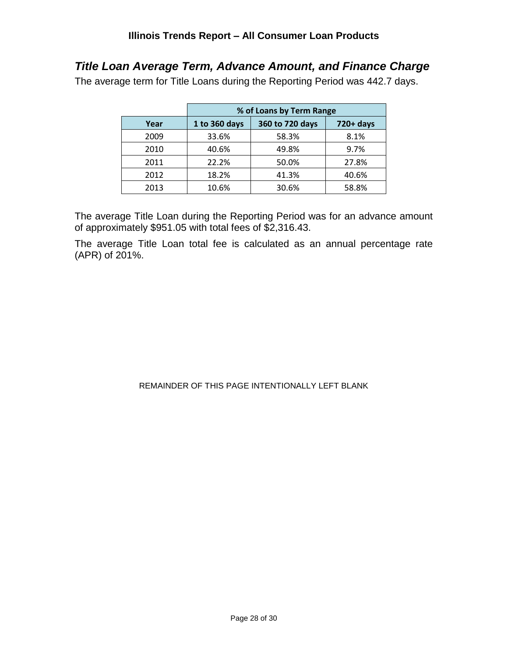## <span id="page-27-0"></span>*Title Loan Average Term, Advance Amount, and Finance Charge*

The average term for Title Loans during the Reporting Period was 442.7 days.

|      |               | % of Loans by Term Range |              |
|------|---------------|--------------------------|--------------|
| Year | 1 to 360 days | 360 to 720 days          | $720 + days$ |
| 2009 | 33.6%         | 58.3%                    | 8.1%         |
| 2010 | 40.6%         | 49.8%                    | 9.7%         |
| 2011 | 22.2%         | 50.0%                    | 27.8%        |
| 2012 | 18.2%         | 41.3%                    | 40.6%        |
| 2013 | 10.6%         | 30.6%                    | 58.8%        |

The average Title Loan during the Reporting Period was for an advance amount of approximately \$951.05 with total fees of \$2,316.43.

The average Title Loan total fee is calculated as an annual percentage rate (APR) of 201%.

#### REMAINDER OF THIS PAGE INTENTIONALLY LEFT BLANK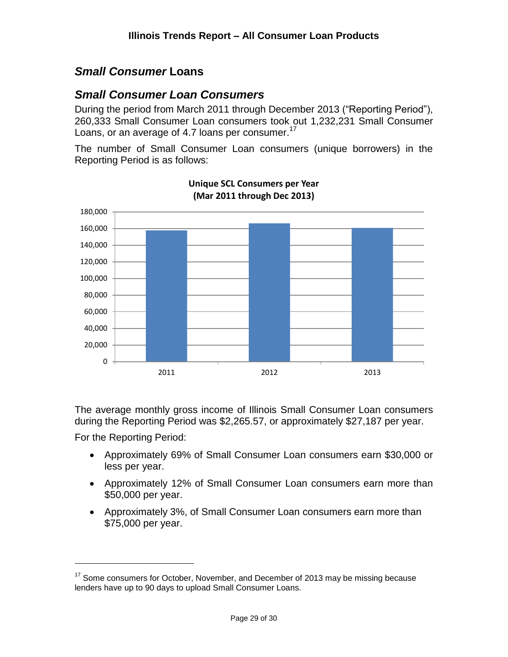## <span id="page-28-0"></span>*Small Consumer* **Loans**

## <span id="page-28-1"></span>*Small Consumer Loan Consumers*

During the period from March 2011 through December 2013 ("Reporting Period"), 260,333 Small Consumer Loan consumers took out 1,232,231 Small Consumer Loans, or an average of 4.7 loans per consumer.<sup>17</sup>

The number of Small Consumer Loan consumers (unique borrowers) in the Reporting Period is as follows:



**Unique SCL Consumers per Year (Mar 2011 through Dec 2013)**

The average monthly gross income of Illinois Small Consumer Loan consumers during the Reporting Period was \$2,265.57, or approximately \$27,187 per year.

For the Reporting Period:

- Approximately 69% of Small Consumer Loan consumers earn \$30,000 or less per year.
- Approximately 12% of Small Consumer Loan consumers earn more than \$50,000 per year.
- Approximately 3%, of Small Consumer Loan consumers earn more than \$75,000 per year.

 $17$  Some consumers for October, November, and December of 2013 may be missing because lenders have up to 90 days to upload Small Consumer Loans.